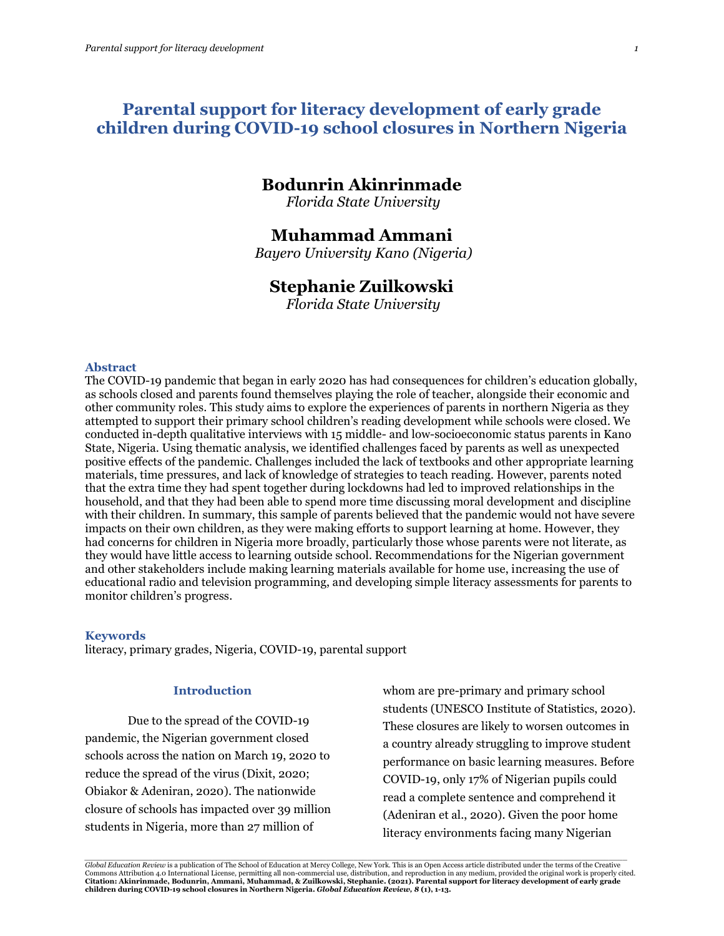# **Parental support for literacy development of early grade children during COVID-19 school closures in Northern Nigeria**

# **Bodunrin Akinrinmade**

*Florida State University*

## **Muhammad Ammani**

*Bayero University Kano (Nigeria)*

# **Stephanie Zuilkowski**

*Florida State University*

#### **Abstract**

The COVID-19 pandemic that began in early 2020 has had consequences for children's education globally, as schools closed and parents found themselves playing the role of teacher, alongside their economic and other community roles. This study aims to explore the experiences of parents in northern Nigeria as they attempted to support their primary school children's reading development while schools were closed. We conducted in-depth qualitative interviews with 15 middle- and low-socioeconomic status parents in Kano State, Nigeria. Using thematic analysis, we identified challenges faced by parents as well as unexpected positive effects of the pandemic. Challenges included the lack of textbooks and other appropriate learning materials, time pressures, and lack of knowledge of strategies to teach reading. However, parents noted that the extra time they had spent together during lockdowns had led to improved relationships in the household, and that they had been able to spend more time discussing moral development and discipline with their children. In summary, this sample of parents believed that the pandemic would not have severe impacts on their own children, as they were making efforts to support learning at home. However, they had concerns for children in Nigeria more broadly, particularly those whose parents were not literate, as they would have little access to learning outside school. Recommendations for the Nigerian government and other stakeholders include making learning materials available for home use, increasing the use of educational radio and television programming, and developing simple literacy assessments for parents to monitor children's progress.

#### **Keywords**

literacy, primary grades, Nigeria, COVID-19, parental support

### **Introduction**

Due to the spread of the COVID-19 pandemic, the Nigerian government closed schools across the nation on March 19, 2020 to reduce the spread of the virus (Dixit, 2020; Obiakor & Adeniran, 2020). The nationwide closure of schools has impacted over 39 million students in Nigeria, more than 27 million of

whom are pre-primary and primary school students (UNESCO Institute of Statistics, 2020). These closures are likely to worsen outcomes in a country already struggling to improve student performance on basic learning measures. Before COVID-19, only 17% of Nigerian pupils could read a complete sentence and comprehend it (Adeniran et al., 2020). Given the poor home literacy environments facing many Nigerian

.<br>Global Education Review is a publication of The School of Education at Mercy College, New York. This is an Open Access article distributed under the terms of the Creative Commons Attribution 4.0 International License, permitting all non-commercial use, distribution, and reproduction in any medium, provided the original work is properly cited. **Citation: Akinrinmade, Bodunrin, Ammani, Muhammad, & Zuilkowski, Stephanie. (2021). Parental support for literacy development of early grade children during COVID-19 school closures in Northern Nigeria.** *Global Education Review, 8* **(1), 1-13.**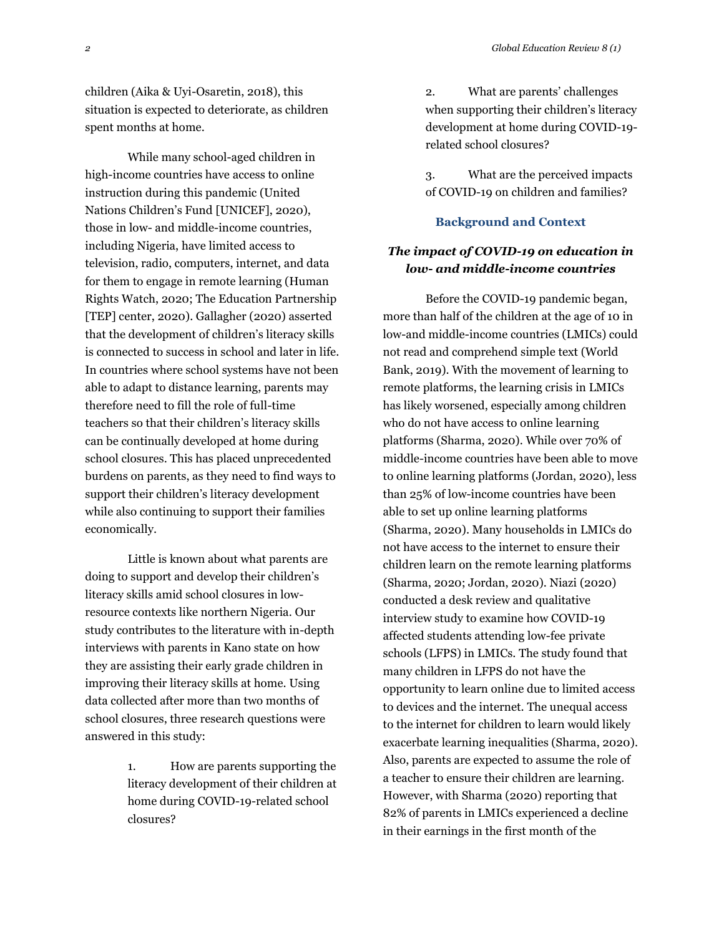children (Aika & Uyi-Osaretin, 2018), this situation is expected to deteriorate, as children spent months at home.

While many school-aged children in high-income countries have access to online instruction during this pandemic (United Nations Children's Fund [UNICEF], 2020), those in low- and middle-income countries, including Nigeria, have limited access to television, radio, computers, internet, and data for them to engage in remote learning (Human Rights Watch, 2020; The Education Partnership [TEP] center, 2020). Gallagher (2020) asserted that the development of children's literacy skills is connected to success in school and later in life. In countries where school systems have not been able to adapt to distance learning, parents may therefore need to fill the role of full-time teachers so that their children's literacy skills can be continually developed at home during school closures. This has placed unprecedented burdens on parents, as they need to find ways to support their children's literacy development while also continuing to support their families economically.

Little is known about what parents are doing to support and develop their children's literacy skills amid school closures in lowresource contexts like northern Nigeria. Our study contributes to the literature with in-depth interviews with parents in Kano state on how they are assisting their early grade children in improving their literacy skills at home. Using data collected after more than two months of school closures, three research questions were answered in this study:

> 1. How are parents supporting the literacy development of their children at home during COVID-19-related school closures?

2. What are parents' challenges when supporting their children's literacy development at home during COVID-19 related school closures?

3. What are the perceived impacts of COVID-19 on children and families?

#### **Background and Context**

## *The impact of COVID-19 on education in low- and middle-income countries*

Before the COVID-19 pandemic began, more than half of the children at the age of 10 in low-and middle-income countries (LMICs) could not read and comprehend simple text (World Bank, 2019). With the movement of learning to remote platforms, the learning crisis in LMICs has likely worsened, especially among children who do not have access to online learning platforms (Sharma, 2020). While over 70% of middle-income countries have been able to move to online learning platforms (Jordan, 2020), less than 25% of low-income countries have been able to set up online learning platforms (Sharma, 2020). Many households in LMICs do not have access to the internet to ensure their children learn on the remote learning platforms (Sharma, 2020; Jordan, 2020). Niazi (2020) conducted a desk review and qualitative interview study to examine how COVID-19 affected students attending low-fee private schools (LFPS) in LMICs. The study found that many children in LFPS do not have the opportunity to learn online due to limited access to devices and the internet. The unequal access to the internet for children to learn would likely exacerbate learning inequalities (Sharma, 2020). Also, parents are expected to assume the role of a teacher to ensure their children are learning. However, with Sharma (2020) reporting that 82% of parents in LMICs experienced a decline in their earnings in the first month of the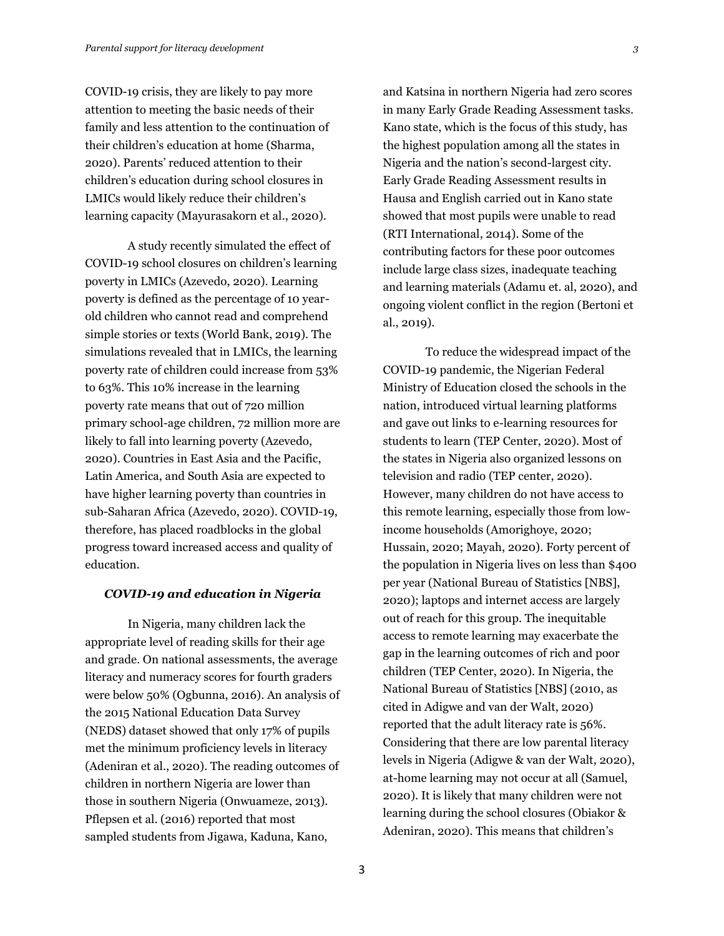COVID-19 crisis, they are likely to pay more attention to meeting the basic needs of their family and less attention to the continuation of their children's education at home (Sharma, 2020). Parents' reduced attention to their children's education during school closures in LMICs would likely reduce their children's learning capacity (Mayurasakorn et al., 2020).

A study recently simulated the effect of COVID-19 school closures on children's learning poverty in LMICs (Azevedo, 2020). Learning poverty is defined as the percentage of 10 yearold children who cannot read and comprehend simple stories or texts (World Bank, 2019). The simulations revealed that in LMICs, the learning poverty rate of children could increase from 53% to 63%. This 10% increase in the learning poverty rate means that out of 720 million primary school-age children, 72 million more are likely to fall into learning poverty (Azevedo, 2020). Countries in East Asia and the Pacific, Latin America, and South Asia are expected to have higher learning poverty than countries in sub-Saharan Africa (Azevedo, 2020). COVID-19, therefore, has placed roadblocks in the global progress toward increased access and quality of education.

### *COVID-19 and education in Nigeria*

In Nigeria, many children lack the appropriate level of reading skills for their age and grade. On national assessments, the average literacy and numeracy scores for fourth graders were below 50% (Ogbunna, 2016). An analysis of the 2015 National Education Data Survey (NEDS) dataset showed that only 17% of pupils met the minimum proficiency levels in literacy (Adeniran et al., 2020). The reading outcomes of children in northern Nigeria are lower than those in southern Nigeria (Onwuameze, 2013). Pflepsen et al. (2016) reported that most sampled students from Jigawa, Kaduna, Kano,

and Katsina in northern Nigeria had zero scores in many Early Grade Reading Assessment tasks. Kano state, which is the focus of this study, has the highest population among all the states in Nigeria and the nation's second-largest city. Early Grade Reading Assessment results in Hausa and English carried out in Kano state showed that most pupils were unable to read (RTI International, 2014). Some of the contributing factors for these poor outcomes include large class sizes, inadequate teaching and learning materials (Adamu et. al, 2020), and ongoing violent conflict in the region (Bertoni et al., 2019).

To reduce the widespread impact of the COVID-19 pandemic, the Nigerian Federal Ministry of Education closed the schools in the nation, introduced virtual learning platforms and gave out links to e-learning resources for students to learn (TEP Center, 2020). Most of the states in Nigeria also organized lessons on television and radio (TEP center, 2020). However, many children do not have access to this remote learning, especially those from lowincome households (Amorighoye, 2020; Hussain, 2020; Mayah, 2020). Forty percent of the population in Nigeria lives on less than \$400 per year (National Bureau of Statistics [NBS], 2020); laptops and internet access are largely out of reach for this group. The inequitable access to remote learning may exacerbate the gap in the learning outcomes of rich and poor children (TEP Center, 2020). In Nigeria, the National Bureau of Statistics [NBS] (2010, as cited in Adigwe and van der Walt, 2020) reported that the adult literacy rate is 56%. Considering that there are low parental literacy levels in Nigeria (Adigwe & van der Walt, 2020), at-home learning may not occur at all (Samuel, 2020). It is likely that many children were not learning during the school closures (Obiakor & Adeniran, 2020). This means that children's

3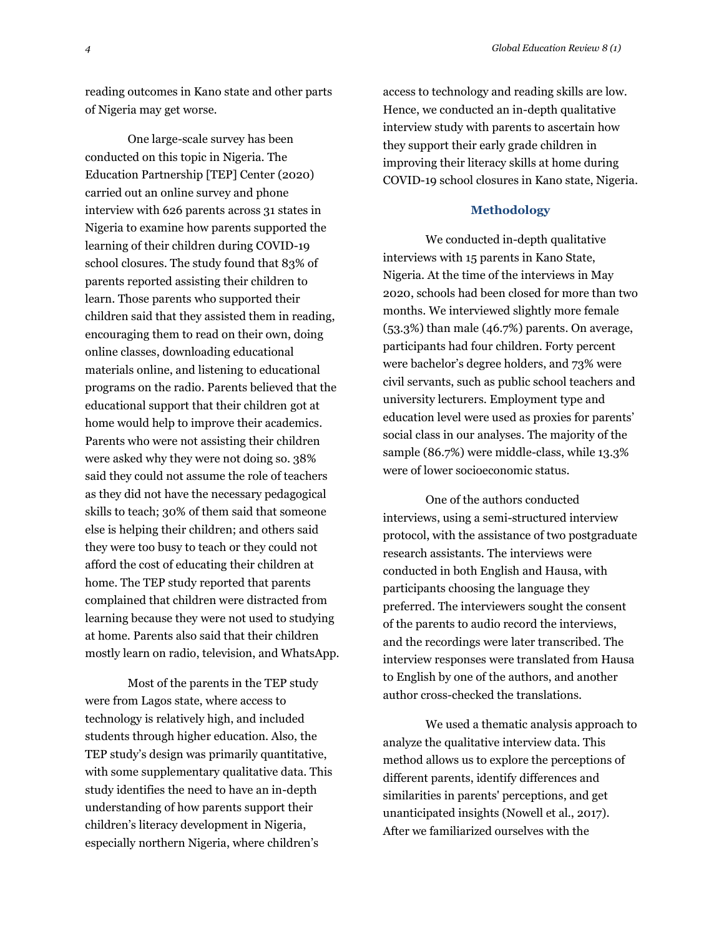reading outcomes in Kano state and other parts of Nigeria may get worse.

One large-scale survey has been conducted on this topic in Nigeria. The Education Partnership [TEP] Center (2020) carried out an online survey and phone interview with 626 parents across 31 states in Nigeria to examine how parents supported the learning of their children during COVID-19 school closures. The study found that 83% of parents reported assisting their children to learn. Those parents who supported their children said that they assisted them in reading, encouraging them to read on their own, doing online classes, downloading educational materials online, and listening to educational programs on the radio. Parents believed that the educational support that their children got at home would help to improve their academics. Parents who were not assisting their children were asked why they were not doing so. 38% said they could not assume the role of teachers as they did not have the necessary pedagogical skills to teach; 30% of them said that someone else is helping their children; and others said they were too busy to teach or they could not afford the cost of educating their children at home. The TEP study reported that parents complained that children were distracted from learning because they were not used to studying at home. Parents also said that their children mostly learn on radio, television, and WhatsApp.

Most of the parents in the TEP study were from Lagos state, where access to technology is relatively high, and included students through higher education. Also, the TEP study's design was primarily quantitative, with some supplementary qualitative data. This study identifies the need to have an in-depth understanding of how parents support their children's literacy development in Nigeria, especially northern Nigeria, where children's

access to technology and reading skills are low. Hence, we conducted an in-depth qualitative interview study with parents to ascertain how they support their early grade children in improving their literacy skills at home during COVID-19 school closures in Kano state, Nigeria.

#### **Methodology**

We conducted in-depth qualitative interviews with 15 parents in Kano State, Nigeria. At the time of the interviews in May 2020, schools had been closed for more than two months. We interviewed slightly more female (53.3%) than male (46.7%) parents. On average, participants had four children. Forty percent were bachelor's degree holders, and 73% were civil servants, such as public school teachers and university lecturers. Employment type and education level were used as proxies for parents' social class in our analyses. The majority of the sample (86.7%) were middle-class, while 13.3% were of lower socioeconomic status.

One of the authors conducted interviews, using a semi-structured interview protocol, with the assistance of two postgraduate research assistants. The interviews were conducted in both English and Hausa, with participants choosing the language they preferred. The interviewers sought the consent of the parents to audio record the interviews, and the recordings were later transcribed. The interview responses were translated from Hausa to English by one of the authors, and another author cross-checked the translations.

We used a thematic analysis approach to analyze the qualitative interview data. This method allows us to explore the perceptions of different parents, identify differences and similarities in parents' perceptions, and get unanticipated insights (Nowell et al., 2017). After we familiarized ourselves with the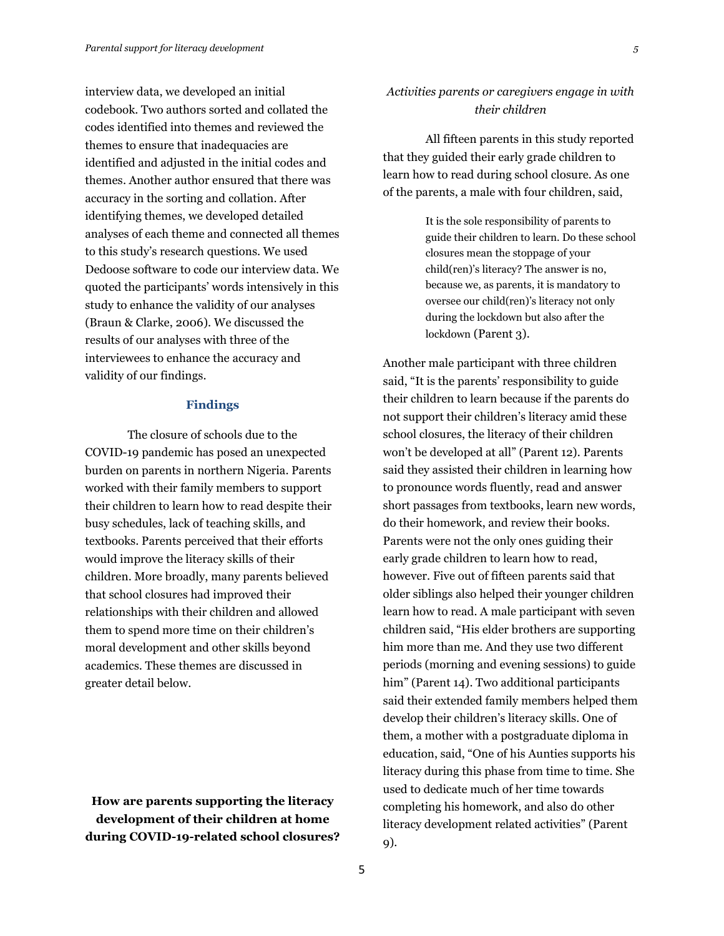interview data, we developed an initial codebook. Two authors sorted and collated the codes identified into themes and reviewed the themes to ensure that inadequacies are identified and adjusted in the initial codes and themes. Another author ensured that there was accuracy in the sorting and collation. After identifying themes, we developed detailed analyses of each theme and connected all themes to this study's research questions. We used Dedoose software to code our interview data. We quoted the participants' words intensively in this study to enhance the validity of our analyses (Braun & Clarke, 2006). We discussed the results of our analyses with three of the interviewees to enhance the accuracy and validity of our findings.

#### **Findings**

The closure of schools due to the COVID-19 pandemic has posed an unexpected burden on parents in northern Nigeria. Parents worked with their family members to support their children to learn how to read despite their busy schedules, lack of teaching skills, and textbooks. Parents perceived that their efforts would improve the literacy skills of their children. More broadly, many parents believed that school closures had improved their relationships with their children and allowed them to spend more time on their children's moral development and other skills beyond academics. These themes are discussed in greater detail below.

**How are parents supporting the literacy development of their children at home during COVID-19-related school closures?**

## *Activities parents or caregivers engage in with their children*

All fifteen parents in this study reported that they guided their early grade children to learn how to read during school closure. As one of the parents, a male with four children, said,

> It is the sole responsibility of parents to guide their children to learn. Do these school closures mean the stoppage of your child(ren)'s literacy? The answer is no, because we, as parents, it is mandatory to oversee our child(ren)'s literacy not only during the lockdown but also after the lockdown (Parent 3).

Another male participant with three children said, "It is the parents' responsibility to guide their children to learn because if the parents do not support their children's literacy amid these school closures, the literacy of their children won't be developed at all" (Parent 12). Parents said they assisted their children in learning how to pronounce words fluently, read and answer short passages from textbooks, learn new words, do their homework, and review their books. Parents were not the only ones guiding their early grade children to learn how to read, however. Five out of fifteen parents said that older siblings also helped their younger children learn how to read. A male participant with seven children said, "His elder brothers are supporting him more than me. And they use two different periods (morning and evening sessions) to guide him" (Parent 14). Two additional participants said their extended family members helped them develop their children's literacy skills. One of them, a mother with a postgraduate diploma in education, said, "One of his Aunties supports his literacy during this phase from time to time. She used to dedicate much of her time towards completing his homework, and also do other literacy development related activities" (Parent 9).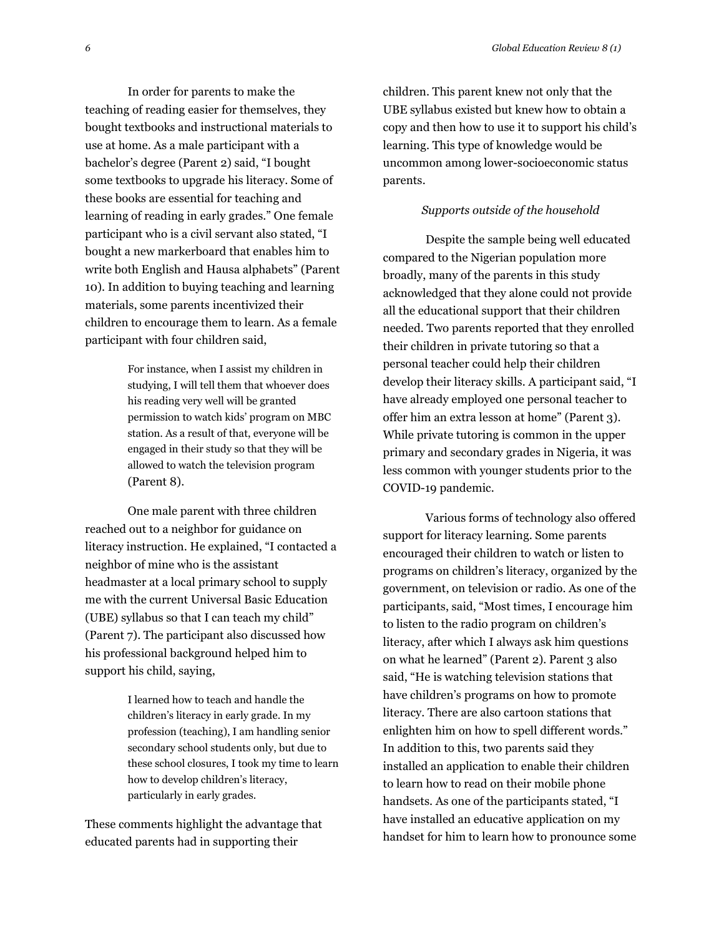In order for parents to make the teaching of reading easier for themselves, they bought textbooks and instructional materials to use at home. As a male participant with a bachelor's degree (Parent 2) said, "I bought some textbooks to upgrade his literacy. Some of these books are essential for teaching and learning of reading in early grades." One female participant who is a civil servant also stated, "I bought a new markerboard that enables him to write both English and Hausa alphabets" (Parent 10). In addition to buying teaching and learning materials, some parents incentivized their children to encourage them to learn. As a female participant with four children said,

> For instance, when I assist my children in studying, I will tell them that whoever does his reading very well will be granted permission to watch kids' program on MBC station. As a result of that, everyone will be engaged in their study so that they will be allowed to watch the television program (Parent 8).

One male parent with three children reached out to a neighbor for guidance on literacy instruction. He explained, "I contacted a neighbor of mine who is the assistant headmaster at a local primary school to supply me with the current Universal Basic Education (UBE) syllabus so that I can teach my child" (Parent 7). The participant also discussed how his professional background helped him to support his child, saying,

> I learned how to teach and handle the children's literacy in early grade. In my profession (teaching), I am handling senior secondary school students only, but due to these school closures, I took my time to learn how to develop children's literacy, particularly in early grades.

These comments highlight the advantage that educated parents had in supporting their

children. This parent knew not only that the UBE syllabus existed but knew how to obtain a copy and then how to use it to support his child's learning. This type of knowledge would be uncommon among lower-socioeconomic status parents.

### *Supports outside of the household*

Despite the sample being well educated compared to the Nigerian population more broadly, many of the parents in this study acknowledged that they alone could not provide all the educational support that their children needed. Two parents reported that they enrolled their children in private tutoring so that a personal teacher could help their children develop their literacy skills. A participant said, "I have already employed one personal teacher to offer him an extra lesson at home" (Parent 3). While private tutoring is common in the upper primary and secondary grades in Nigeria, it was less common with younger students prior to the COVID-19 pandemic.

Various forms of technology also offered support for literacy learning. Some parents encouraged their children to watch or listen to programs on children's literacy, organized by the government, on television or radio. As one of the participants, said, "Most times, I encourage him to listen to the radio program on children's literacy, after which I always ask him questions on what he learned" (Parent 2). Parent 3 also said, "He is watching television stations that have children's programs on how to promote literacy. There are also cartoon stations that enlighten him on how to spell different words." In addition to this, two parents said they installed an application to enable their children to learn how to read on their mobile phone handsets. As one of the participants stated, "I have installed an educative application on my handset for him to learn how to pronounce some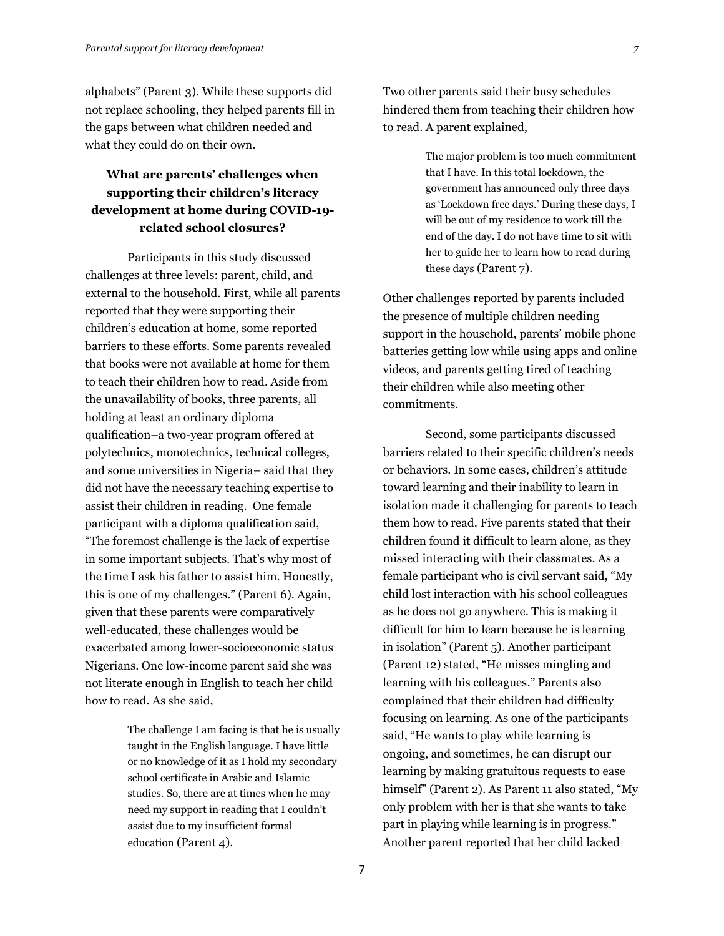alphabets" (Parent 3). While these supports did not replace schooling, they helped parents fill in the gaps between what children needed and what they could do on their own.

## **What are parents' challenges when supporting their children's literacy development at home during COVID-19 related school closures?**

Participants in this study discussed challenges at three levels: parent, child, and external to the household. First, while all parents reported that they were supporting their children's education at home, some reported barriers to these efforts. Some parents revealed that books were not available at home for them to teach their children how to read. Aside from the unavailability of books, three parents, all holding at least an ordinary diploma qualification–a two-year program offered at polytechnics, monotechnics, technical colleges, and some universities in Nigeria– said that they did not have the necessary teaching expertise to assist their children in reading. One female participant with a diploma qualification said, "The foremost challenge is the lack of expertise in some important subjects. That's why most of the time I ask his father to assist him. Honestly, this is one of my challenges." (Parent 6). Again, given that these parents were comparatively well-educated, these challenges would be exacerbated among lower-socioeconomic status Nigerians. One low-income parent said she was not literate enough in English to teach her child how to read. As she said,

> The challenge I am facing is that he is usually taught in the English language. I have little or no knowledge of it as I hold my secondary school certificate in Arabic and Islamic studies. So, there are at times when he may need my support in reading that I couldn't assist due to my insufficient formal education (Parent 4).

Two other parents said their busy schedules hindered them from teaching their children how to read. A parent explained,

> The major problem is too much commitment that I have. In this total lockdown, the government has announced only three days as 'Lockdown free days.' During these days, I will be out of my residence to work till the end of the day. I do not have time to sit with her to guide her to learn how to read during these days (Parent 7).

Other challenges reported by parents included the presence of multiple children needing support in the household, parents' mobile phone batteries getting low while using apps and online videos, and parents getting tired of teaching their children while also meeting other commitments.

Second, some participants discussed barriers related to their specific children's needs or behaviors. In some cases, children's attitude toward learning and their inability to learn in isolation made it challenging for parents to teach them how to read. Five parents stated that their children found it difficult to learn alone, as they missed interacting with their classmates. As a female participant who is civil servant said, "My child lost interaction with his school colleagues as he does not go anywhere. This is making it difficult for him to learn because he is learning in isolation" (Parent 5). Another participant (Parent 12) stated, "He misses mingling and learning with his colleagues." Parents also complained that their children had difficulty focusing on learning. As one of the participants said, "He wants to play while learning is ongoing, and sometimes, he can disrupt our learning by making gratuitous requests to ease himself" (Parent 2). As Parent 11 also stated, "My only problem with her is that she wants to take part in playing while learning is in progress." Another parent reported that her child lacked

7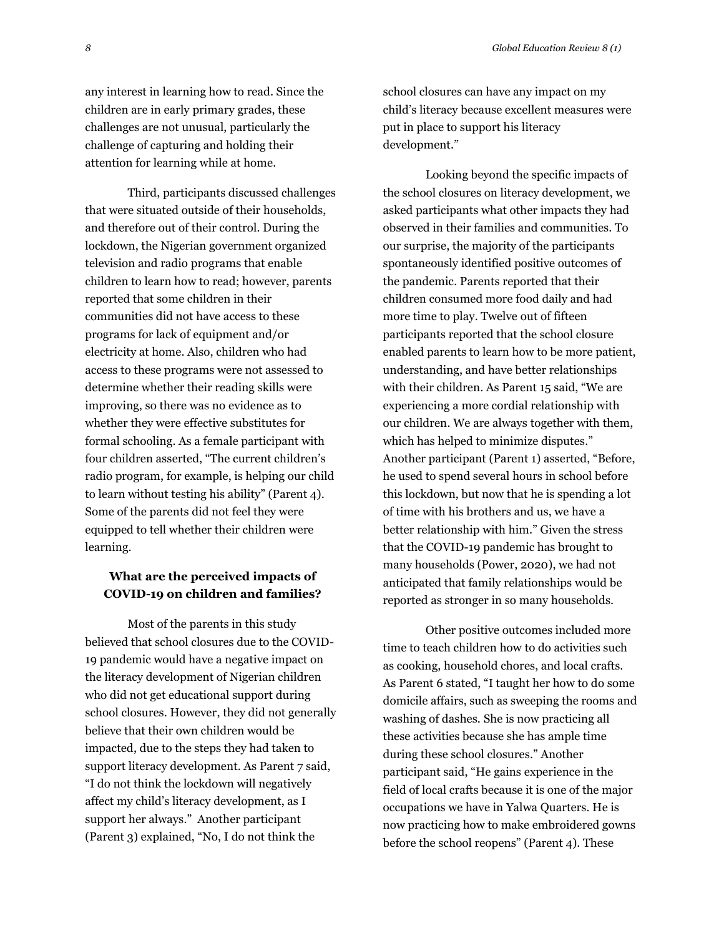any interest in learning how to read. Since the children are in early primary grades, these challenges are not unusual, particularly the challenge of capturing and holding their attention for learning while at home.

Third, participants discussed challenges that were situated outside of their households, and therefore out of their control. During the lockdown, the Nigerian government organized television and radio programs that enable children to learn how to read; however, parents reported that some children in their communities did not have access to these programs for lack of equipment and/or electricity at home. Also, children who had access to these programs were not assessed to determine whether their reading skills were improving, so there was no evidence as to whether they were effective substitutes for formal schooling. As a female participant with four children asserted, "The current children's radio program, for example, is helping our child to learn without testing his ability" (Parent 4). Some of the parents did not feel they were equipped to tell whether their children were learning.

### **What are the perceived impacts of COVID-19 on children and families?**

Most of the parents in this study believed that school closures due to the COVID-19 pandemic would have a negative impact on the literacy development of Nigerian children who did not get educational support during school closures. However, they did not generally believe that their own children would be impacted, due to the steps they had taken to support literacy development. As Parent 7 said, "I do not think the lockdown will negatively affect my child's literacy development, as I support her always." Another participant (Parent 3) explained, "No, I do not think the

school closures can have any impact on my child's literacy because excellent measures were put in place to support his literacy development."

Looking beyond the specific impacts of the school closures on literacy development, we asked participants what other impacts they had observed in their families and communities. To our surprise, the majority of the participants spontaneously identified positive outcomes of the pandemic. Parents reported that their children consumed more food daily and had more time to play. Twelve out of fifteen participants reported that the school closure enabled parents to learn how to be more patient, understanding, and have better relationships with their children. As Parent 15 said, "We are experiencing a more cordial relationship with our children. We are always together with them, which has helped to minimize disputes." Another participant (Parent 1) asserted, "Before, he used to spend several hours in school before this lockdown, but now that he is spending a lot of time with his brothers and us, we have a better relationship with him." Given the stress that the COVID-19 pandemic has brought to many households (Power, 2020), we had not anticipated that family relationships would be reported as stronger in so many households.

Other positive outcomes included more time to teach children how to do activities such as cooking, household chores, and local crafts. As Parent 6 stated, "I taught her how to do some domicile affairs, such as sweeping the rooms and washing of dashes. She is now practicing all these activities because she has ample time during these school closures." Another participant said, "He gains experience in the field of local crafts because it is one of the major occupations we have in Yalwa Quarters. He is now practicing how to make embroidered gowns before the school reopens" (Parent 4). These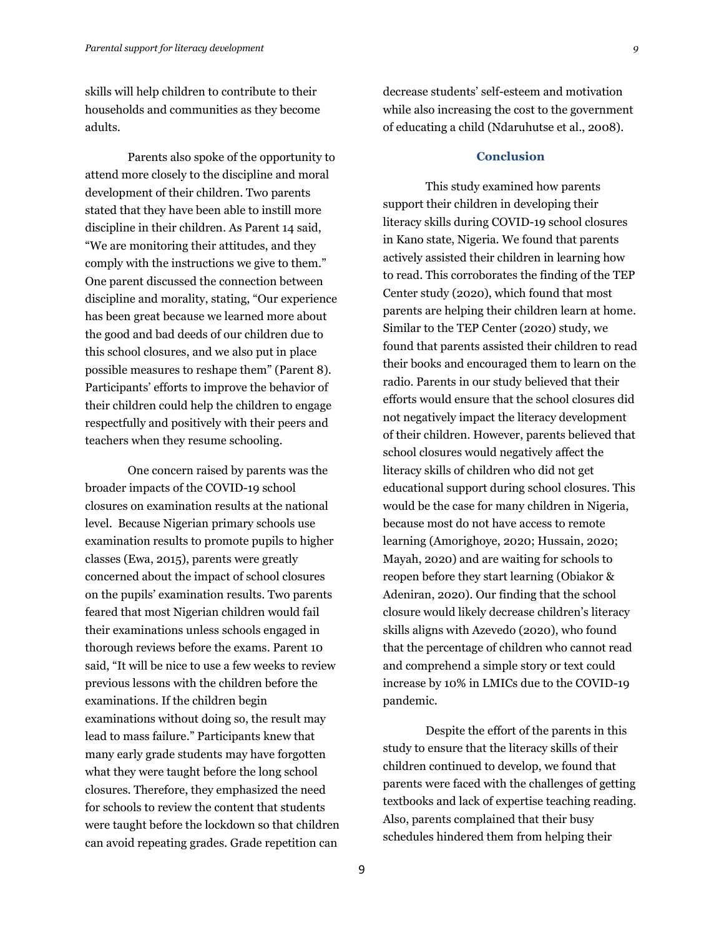skills will help children to contribute to their households and communities as they become adults.

Parents also spoke of the opportunity to attend more closely to the discipline and moral development of their children. Two parents stated that they have been able to instill more discipline in their children. As Parent 14 said, "We are monitoring their attitudes, and they comply with the instructions we give to them." One parent discussed the connection between discipline and morality, stating, "Our experience has been great because we learned more about the good and bad deeds of our children due to this school closures, and we also put in place possible measures to reshape them" (Parent 8). Participants' efforts to improve the behavior of their children could help the children to engage respectfully and positively with their peers and teachers when they resume schooling.

One concern raised by parents was the broader impacts of the COVID-19 school closures on examination results at the national level. Because Nigerian primary schools use examination results to promote pupils to higher classes (Ewa, 2015), parents were greatly concerned about the impact of school closures on the pupils' examination results. Two parents feared that most Nigerian children would fail their examinations unless schools engaged in thorough reviews before the exams. Parent 10 said, "It will be nice to use a few weeks to review previous lessons with the children before the examinations. If the children begin examinations without doing so, the result may lead to mass failure." Participants knew that many early grade students may have forgotten what they were taught before the long school closures. Therefore, they emphasized the need for schools to review the content that students were taught before the lockdown so that children can avoid repeating grades. Grade repetition can

decrease students' self-esteem and motivation while also increasing the cost to the government of educating a child (Ndaruhutse et al., 2008).

### **Conclusion**

This study examined how parents support their children in developing their literacy skills during COVID-19 school closures in Kano state, Nigeria. We found that parents actively assisted their children in learning how to read. This corroborates the finding of the TEP Center study (2020), which found that most parents are helping their children learn at home. Similar to the TEP Center (2020) study, we found that parents assisted their children to read their books and encouraged them to learn on the radio. Parents in our study believed that their efforts would ensure that the school closures did not negatively impact the literacy development of their children. However, parents believed that school closures would negatively affect the literacy skills of children who did not get educational support during school closures. This would be the case for many children in Nigeria, because most do not have access to remote learning (Amorighoye, 2020; Hussain, 2020; Mayah, 2020) and are waiting for schools to reopen before they start learning (Obiakor & Adeniran, 2020). Our finding that the school closure would likely decrease children's literacy skills aligns with Azevedo (2020), who found that the percentage of children who cannot read and comprehend a simple story or text could increase by 10% in LMICs due to the COVID-19 pandemic.

Despite the effort of the parents in this study to ensure that the literacy skills of their children continued to develop, we found that parents were faced with the challenges of getting textbooks and lack of expertise teaching reading. Also, parents complained that their busy schedules hindered them from helping their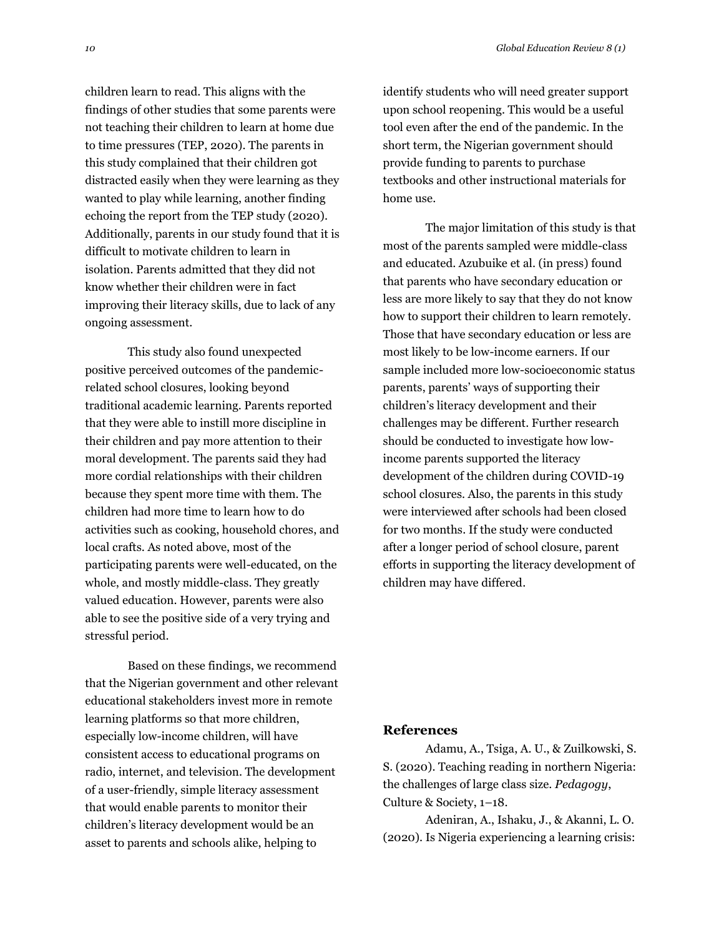children learn to read. This aligns with the findings of other studies that some parents were not teaching their children to learn at home due to time pressures (TEP, 2020). The parents in this study complained that their children got distracted easily when they were learning as they wanted to play while learning, another finding echoing the report from the TEP study (2020). Additionally, parents in our study found that it is difficult to motivate children to learn in isolation. Parents admitted that they did not know whether their children were in fact improving their literacy skills, due to lack of any ongoing assessment.

This study also found unexpected positive perceived outcomes of the pandemicrelated school closures, looking beyond traditional academic learning. Parents reported that they were able to instill more discipline in their children and pay more attention to their moral development. The parents said they had more cordial relationships with their children because they spent more time with them. The children had more time to learn how to do activities such as cooking, household chores, and local crafts. As noted above, most of the participating parents were well-educated, on the whole, and mostly middle-class. They greatly valued education. However, parents were also able to see the positive side of a very trying and stressful period.

Based on these findings, we recommend that the Nigerian government and other relevant educational stakeholders invest more in remote learning platforms so that more children, especially low-income children, will have consistent access to educational programs on radio, internet, and television. The development of a user-friendly, simple literacy assessment that would enable parents to monitor their children's literacy development would be an asset to parents and schools alike, helping to

identify students who will need greater support upon school reopening. This would be a useful tool even after the end of the pandemic. In the short term, the Nigerian government should provide funding to parents to purchase textbooks and other instructional materials for home use.

The major limitation of this study is that most of the parents sampled were middle-class and educated. Azubuike et al. (in press) found that parents who have secondary education or less are more likely to say that they do not know how to support their children to learn remotely. Those that have secondary education or less are most likely to be low-income earners. If our sample included more low-socioeconomic status parents, parents' ways of supporting their children's literacy development and their challenges may be different. Further research should be conducted to investigate how lowincome parents supported the literacy development of the children during COVID-19 school closures. Also, the parents in this study were interviewed after schools had been closed for two months. If the study were conducted after a longer period of school closure, parent efforts in supporting the literacy development of children may have differed.

### **References**

Adamu, A., Tsiga, A. U., & Zuilkowski, S. S. (2020). Teaching reading in northern Nigeria: the challenges of large class size. *Pedagogy*, Culture & Society, 1–18.

Adeniran, A., Ishaku, J., & Akanni, L. O. (2020). Is Nigeria experiencing a learning crisis: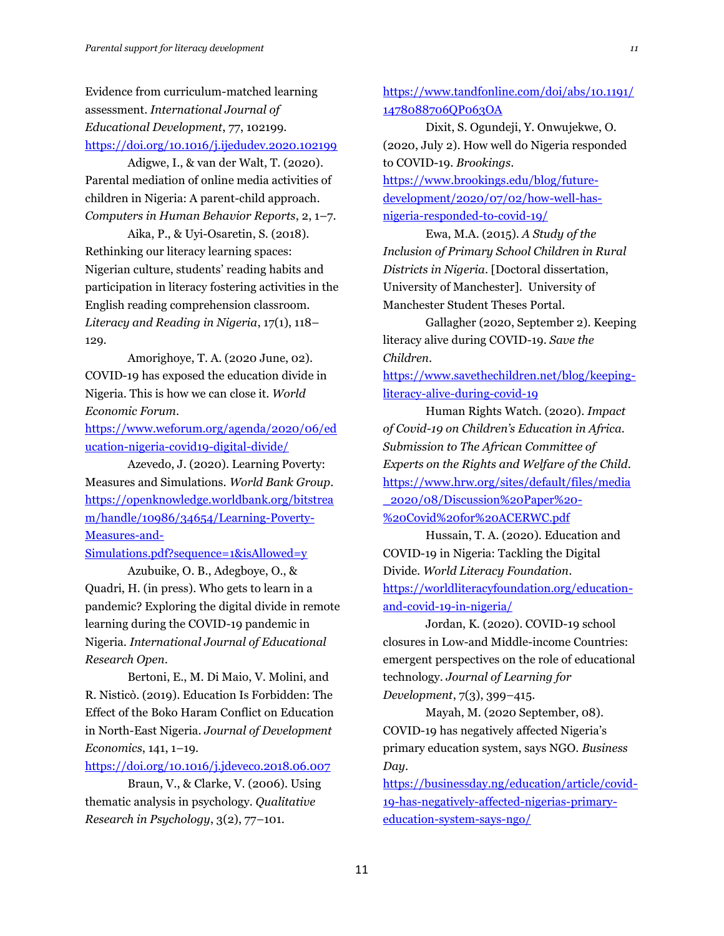Evidence from curriculum-matched learning assessment. *International Journal of Educational Development*, 77, 102199. <https://doi.org/10.1016/j.ijedudev.2020.102199>

Adigwe, I., & van der Walt, T. (2020). Parental mediation of online media activities of children in Nigeria: A parent-child approach. *Computers in Human Behavior Reports*, 2, 1–7.

Aika, P., & Uyi-Osaretin, S. (2018). Rethinking our literacy learning spaces: Nigerian culture, students' reading habits and participation in literacy fostering activities in the English reading comprehension classroom. *Literacy and Reading in Nigeria*, 17(1), 118– 129.

Amorighoye, T. A. (2020 June, 02). COVID-19 has exposed the education divide in Nigeria. This is how we can close it. *World Economic Forum*.

[https://www.weforum.org/agenda/2020/06/ed](https://www.weforum.org/agenda/2020/06/education-nigeria-covid19-digital-divide/) [ucation-nigeria-covid19-digital-divide/](https://www.weforum.org/agenda/2020/06/education-nigeria-covid19-digital-divide/)

Azevedo, J. (2020). Learning Poverty: Measures and Simulations. *World Bank Group*. [https://openknowledge.worldbank.org/bitstrea](https://openknowledge.worldbank.org/bitstream/handle/10986/34654/Learning-Poverty-Measures-and-Simulations.pdf?sequence=1&isAllowed=y) [m/handle/10986/34654/Learning-Poverty-](https://openknowledge.worldbank.org/bitstream/handle/10986/34654/Learning-Poverty-Measures-and-Simulations.pdf?sequence=1&isAllowed=y)[Measures-and-](https://openknowledge.worldbank.org/bitstream/handle/10986/34654/Learning-Poverty-Measures-and-Simulations.pdf?sequence=1&isAllowed=y)

[Simulations.pdf?sequence=1&isAllowed=y](https://openknowledge.worldbank.org/bitstream/handle/10986/34654/Learning-Poverty-Measures-and-Simulations.pdf?sequence=1&isAllowed=y)

Azubuike, O. B., Adegboye, O., & Quadri, H. (in press). Who gets to learn in a pandemic? Exploring the digital divide in remote learning during the COVID-19 pandemic in Nigeria. *International Journal of Educational Research Open*.

Bertoni, E., M. Di Maio, V. Molini, and R. Nisticò. (2019). Education Is Forbidden: The Effect of the Boko Haram Conflict on Education in North-East Nigeria. *Journal of Development Economics*, 141, 1–19.

<https://doi.org/10.1016/j.jdeveco.2018.06.007>

Braun, V., & Clarke, V. (2006). Using thematic analysis in psychology. *Qualitative Research in Psychology*, 3(2), 77–101.

[https://www.tandfonline.com/doi/abs/10.1191/](https://www.tandfonline.com/doi/abs/10.1191/1478088706QP063OA) [1478088706QP063OA](https://www.tandfonline.com/doi/abs/10.1191/1478088706QP063OA)

Dixit, S. Ogundeji, Y. Onwujekwe, O. (2020, July 2). How well do Nigeria responded to COVID-19. *Brookings*. [https://www.brookings.edu/blog/future-](https://www.brookings.edu/blog/future-development/2020/07/02/how-well-has-nigeria-responded-to-covid-19/)

[development/2020/07/02/how-well-has](https://www.brookings.edu/blog/future-development/2020/07/02/how-well-has-nigeria-responded-to-covid-19/)[nigeria-responded-to-covid-19/](https://www.brookings.edu/blog/future-development/2020/07/02/how-well-has-nigeria-responded-to-covid-19/)

Ewa, M.A. (2015). *A Study of the Inclusion of Primary School Children in Rural Districts in Nigeria*. [Doctoral dissertation, University of Manchester]. University of Manchester Student Theses Portal.

Gallagher (2020, September 2). Keeping literacy alive during COVID-19. *Save the Children*.

[https://www.savethechildren.net/blog/keeping](https://www.savethechildren.net/blog/keeping-literacy-alive-during-covid-19)[literacy-alive-during-covid-19](https://www.savethechildren.net/blog/keeping-literacy-alive-during-covid-19)

Human Rights Watch. (2020). *Impact of Covid-19 on Children's Education in Africa. Submission to The African Committee of Experts on the Rights and Welfare of the Child*. [https://www.hrw.org/sites/default/files/media](https://www.hrw.org/sites/default/files/media_2020/08/Discussion%20Paper%20-%20Covid%20for%20ACERWC.pdf) [\\_2020/08/Discussion%20Paper%20-](https://www.hrw.org/sites/default/files/media_2020/08/Discussion%20Paper%20-%20Covid%20for%20ACERWC.pdf) [%20Covid%20for%20ACERWC.pdf](https://www.hrw.org/sites/default/files/media_2020/08/Discussion%20Paper%20-%20Covid%20for%20ACERWC.pdf)

Hussain, T. A. (2020). Education and COVID-19 in Nigeria: Tackling the Digital Divide. *World Literacy Foundation*. [https://worldliteracyfoundation.org/education](https://worldliteracyfoundation.org/education-and-covid-19-in-nigeria/)[and-covid-19-in-nigeria/](https://worldliteracyfoundation.org/education-and-covid-19-in-nigeria/)

Jordan, K. (2020). COVID-19 school closures in Low-and Middle-income Countries: emergent perspectives on the role of educational technology. *Journal of Learning for Development*, 7(3), 399–415.

Mayah, M. (2020 September, 08). COVID-19 has negatively affected Nigeria's primary education system, says NGO. *Business Day*.

[https://businessday.ng/education/article/covid-](https://businessday.ng/education/article/covid-19-has-negatively-affected-nigerias-primary-education-system-says-ngo/)[19-has-negatively-affected-nigerias-primary](https://businessday.ng/education/article/covid-19-has-negatively-affected-nigerias-primary-education-system-says-ngo/)[education-system-says-ngo/](https://businessday.ng/education/article/covid-19-has-negatively-affected-nigerias-primary-education-system-says-ngo/)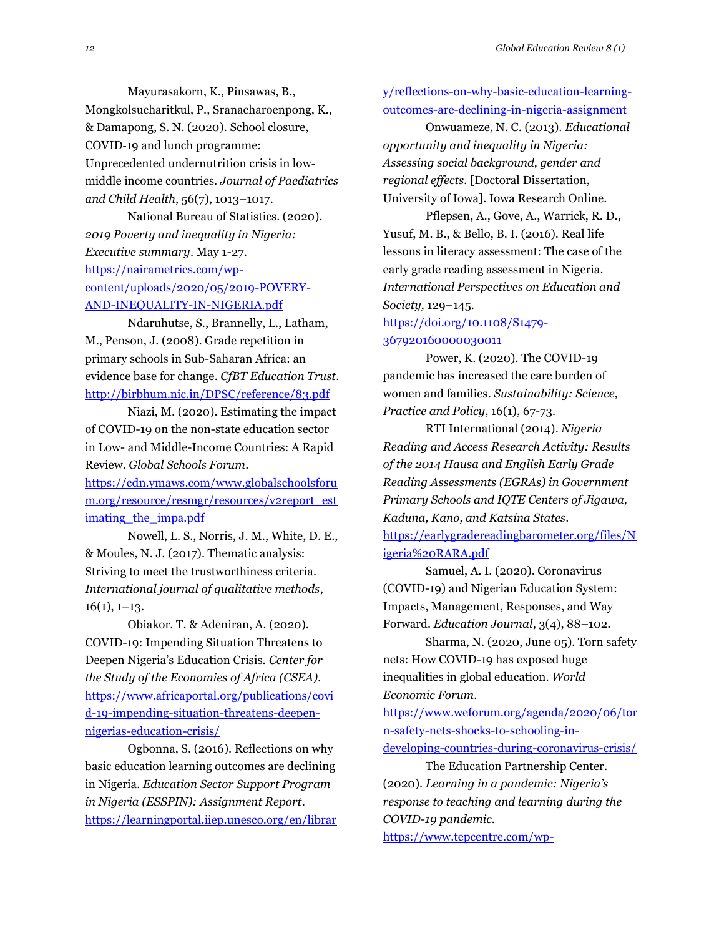Mayurasakorn, K., Pinsawas, B., Mongkolsucharitkul, P., Sranacharoenpong, K., & Damapong, S. N. (2020). School closure, COVID‐19 and lunch programme: Unprecedented undernutrition crisis in low‐ middle income countries. *Journal of Paediatrics and Child Health*, 56(7), 1013–1017.

National Bureau of Statistics. (2020). *2019 Poverty and inequality in Nigeria: Executive summary*. May 1-27. [https://nairametrics.com/wp](https://nairametrics.com/wp-content/uploads/2020/05/2019-POVERY-AND-INEQUALITY-IN-NIGERIA.pdf)[content/uploads/2020/05/2019-POVERY-](https://nairametrics.com/wp-content/uploads/2020/05/2019-POVERY-AND-INEQUALITY-IN-NIGERIA.pdf)[AND-INEQUALITY-IN-NIGERIA.pdf](https://nairametrics.com/wp-content/uploads/2020/05/2019-POVERY-AND-INEQUALITY-IN-NIGERIA.pdf)

Ndaruhutse, S., Brannelly, L., Latham, M., Penson, J. (2008). Grade repetition in primary schools in Sub-Saharan Africa: an evidence base for change. *CfBT Education Trust*. <http://birbhum.nic.in/DPSC/reference/83.pdf>

Niazi, M. (2020). Estimating the impact of COVID-19 on the non-state education sector in Low- and Middle-Income Countries: A Rapid Review. *Global Schools Forum*.

[https://cdn.ymaws.com/www.globalschoolsforu](https://cdn.ymaws.com/www.globalschoolsforum.org/resource/resmgr/resources/v2report_estimating_the_impa.pdf) [m.org/resource/resmgr/resources/v2report\\_est](https://cdn.ymaws.com/www.globalschoolsforum.org/resource/resmgr/resources/v2report_estimating_the_impa.pdf) imating the impa.pdf

Nowell, L. S., Norris, J. M., White, D. E., & Moules, N. J. (2017). Thematic analysis: Striving to meet the trustworthiness criteria. *International journal of qualitative methods*,  $16(1), 1-13.$ 

Obiakor. T. & Adeniran, A. (2020). COVID-19: Impending Situation Threatens to Deepen Nigeria's Education Crisis. *Center for the Study of the Economies of Africa (CSEA).* [https://www.africaportal.org/publications/covi](https://www.africaportal.org/publications/covid-19-impending-situation-threatens-deepen-nigerias-education-crisis/) [d-19-impending-situation-threatens-deepen](https://www.africaportal.org/publications/covid-19-impending-situation-threatens-deepen-nigerias-education-crisis/)[nigerias-education-crisis/](https://www.africaportal.org/publications/covid-19-impending-situation-threatens-deepen-nigerias-education-crisis/)

Ogbonna, S. (2016). Reflections on why basic education learning outcomes are declining in Nigeria. *Education Sector Support Program in Nigeria (ESSPIN): Assignment Report*. [https://learningportal.iiep.unesco.org/en/librar](https://learningportal.iiep.unesco.org/en/library/reflections-on-why-basic-education-learning-outcomes-are-declining-in-nigeria-assignment) [y/reflections-on-why-basic-education-learning](https://learningportal.iiep.unesco.org/en/library/reflections-on-why-basic-education-learning-outcomes-are-declining-in-nigeria-assignment)[outcomes-are-declining-in-nigeria-assignment](https://learningportal.iiep.unesco.org/en/library/reflections-on-why-basic-education-learning-outcomes-are-declining-in-nigeria-assignment)

Onwuameze, N. C. (2013). *Educational opportunity and inequality in Nigeria: Assessing social background, gender and regional effects.* [Doctoral Dissertation, University of Iowa]. Iowa Research Online.

Pflepsen, A., Gove, A., Warrick, R. D., Yusuf, M. B., & Bello, B. I. (2016). Real life lessons in literacy assessment: The case of the early grade reading assessment in Nigeria. *International Perspectives on Education and Society,* 129–145.

[https://doi.org/10.1108/S1479-](https://doi.org/10.1108/S1479-367920160000030011) [367920160000030011](https://doi.org/10.1108/S1479-367920160000030011)

Power, K. (2020). The COVID-19 pandemic has increased the care burden of women and families. *Sustainability: Science, Practice and Policy*, 16(1), 67-73.

RTI International (2014). *Nigeria Reading and Access Research Activity: Results of the 2014 Hausa and English Early Grade Reading Assessments (EGRAs) in Government Primary Schools and IQTE Centers of Jigawa, Kaduna, Kano, and Katsina States*. [https://earlygradereadingbarometer.org/files/N](https://earlygradereadingbarometer.org/files/Nigeria%20RARA.pdf)

[igeria%20RARA.pdf](https://earlygradereadingbarometer.org/files/Nigeria%20RARA.pdf)

Samuel, A. I. (2020). Coronavirus (COVID-19) and Nigerian Education System: Impacts, Management, Responses, and Way Forward. *Education Journal*, 3(4), 88–102.

Sharma, N. (2020, June 05). Torn safety nets: How COVID-19 has exposed huge inequalities in global education. *World Economic Forum*.

[https://www.weforum.org/agenda/2020/06/tor](https://www.weforum.org/agenda/2020/06/torn-safety-nets-shocks-to-schooling-in-developing-countries-during-coronavirus-crisis/) [n-safety-nets-shocks-to-schooling-in](https://www.weforum.org/agenda/2020/06/torn-safety-nets-shocks-to-schooling-in-developing-countries-during-coronavirus-crisis/)[developing-countries-during-coronavirus-crisis/](https://www.weforum.org/agenda/2020/06/torn-safety-nets-shocks-to-schooling-in-developing-countries-during-coronavirus-crisis/)

The Education Partnership Center. (2020). *Learning in a pandemic: Nigeria's response to teaching and learning during the COVID-19 pandemic.*

[https://www.tepcentre.com/wp-](https://www.tepcentre.com/wp-content/uploads/2020/08/Learning-in-a-Pandemic-Report_TEP-NESG_2020.pdf)